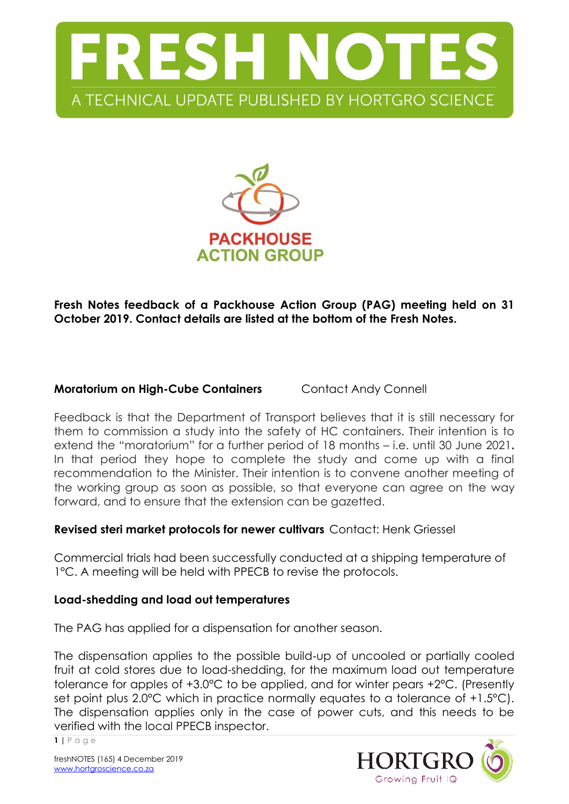



**Fresh Notes feedback of a Packhouse Action Group (PAG) meeting held on 31 October 2019. Contact details are listed at the bottom of the Fresh Notes.**

# **Moratorium on High-Cube Containers** Contact Andy Connell

Feedback is that the Department of Transport believes that it is still necessary for them to commission a study into the safety of HC containers. Their intention is to extend the "moratorium" for a further period of 18 months – i.e. until 30 June 2021**.** In that period they hope to complete the study and come up with a final recommendation to the Minister. Their intention is to convene another meeting of the working group as soon as possible, so that everyone can agree on the way forward, and to ensure that the extension can be gazetted.

#### **Revised steri market protocols for newer cultivars** Contact: Henk Griessel

Commercial trials had been successfully conducted at a shipping temperature of 1°C. A meeting will be held with PPECB to revise the protocols.

#### **Load-shedding and load out temperatures**

The PAG has applied for a dispensation for another season.

The dispensation applies to the possible build‐up of uncooled or partially cooled fruit at cold stores due to load-shedding, for the maximum load out temperature tolerance for apples of +3.0°C to be applied, and for winter pears +2°C. (Presently set point plus 2.0°C which in practice normally equates to a tolerance of +1.5°C). The dispensation applies only in the case of power cuts, and this needs to be verified with the local PPECB inspector.



**1 |** P a g e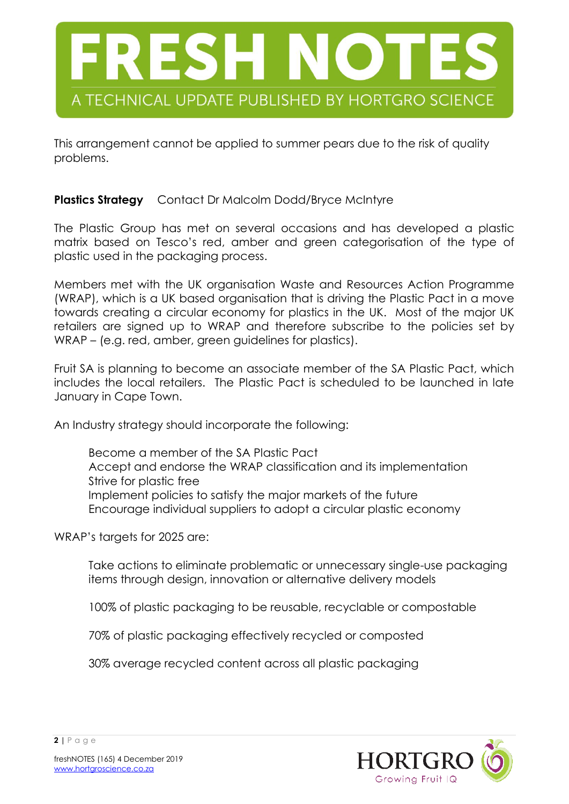

This arrangement cannot be applied to summer pears due to the risk of quality problems.

# **Plastics Strategy** Contact Dr Malcolm Dodd/Bryce McIntyre

The Plastic Group has met on several occasions and has developed a plastic matrix based on Tesco's red, amber and green categorisation of the type of plastic used in the packaging process.

Members met with the UK organisation Waste and Resources Action Programme (WRAP), which is a UK based organisation that is driving the Plastic Pact in a move towards creating a circular economy for plastics in the UK. Most of the major UK retailers are signed up to WRAP and therefore subscribe to the policies set by WRAP – (e.g. red, amber, green quidelines for plastics).

Fruit SA is planning to become an associate member of the SA Plastic Pact, which includes the local retailers. The Plastic Pact is scheduled to be launched in late January in Cape Town.

An Industry strategy should incorporate the following:

Become a member of the SA Plastic Pact Accept and endorse the WRAP classification and its implementation Strive for plastic free Implement policies to satisfy the major markets of the future Encourage individual suppliers to adopt a circular plastic economy

WRAP's targets for 2025 are:

Take actions to eliminate problematic or unnecessary single-use packaging items through design, innovation or alternative delivery models

100% of plastic packaging to be reusable, recyclable or compostable

70% of plastic packaging effectively recycled or composted

30% average recycled content across all plastic packaging

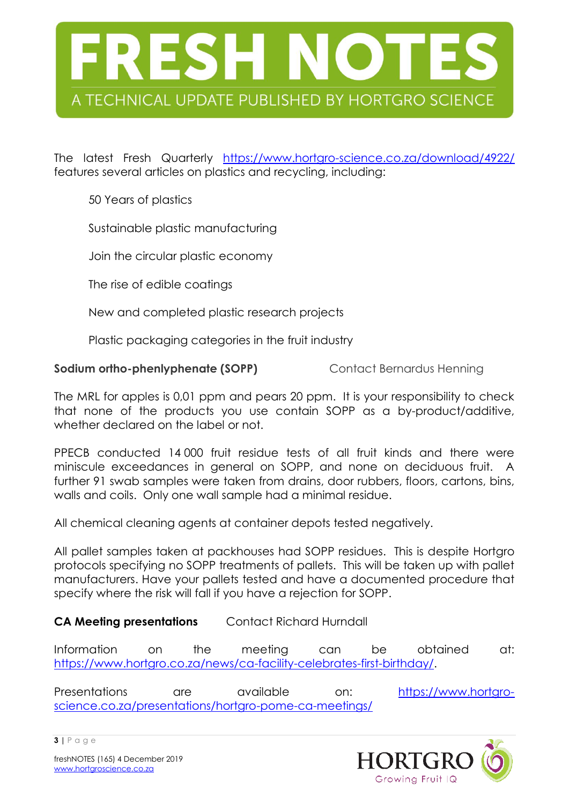

The latest Fresh Quarterly <https://www.hortgro-science.co.za/download/4922/> features several articles on plastics and recycling, including:

50 Years of plastics

Sustainable plastic manufacturing

Join the circular plastic economy

The rise of edible coatings

New and completed plastic research projects

Plastic packaging categories in the fruit industry

**Sodium ortho-phenlyphenate (SOPP)** Contact Bernardus Henning

The MRL for apples is 0,01 ppm and pears 20 ppm. It is your responsibility to check that none of the products you use contain SOPP as a by-product/additive, whether declared on the label or not.

PPECB conducted 14 000 fruit residue tests of all fruit kinds and there were miniscule exceedances in general on SOPP, and none on deciduous fruit. A further 91 swab samples were taken from drains, door rubbers, floors, cartons, bins, walls and coils. Only one wall sample had a minimal residue.

All chemical cleaning agents at container depots tested negatively.

All pallet samples taken at packhouses had SOPP residues. This is despite Hortgro protocols specifying no SOPP treatments of pallets. This will be taken up with pallet manufacturers. Have your pallets tested and have a documented procedure that specify where the risk will fall if you have a rejection for SOPP.

# **CA Meeting presentations** Contact Richard Hurndall

Information on the meeting can be obtained at: [https://www.hortgro.co.za/news/ca-facility-celebrates-first-birthday/.](https://www.hortgro.co.za/news/ca-facility-celebrates-first-birthday/)

Presentations are available on: [https://www.hortgro](https://www.hortgro-science.co.za/presentations/hortgro-pome-ca-meetings/)[science.co.za/presentations/hortgro-pome-ca-meetings/](https://www.hortgro-science.co.za/presentations/hortgro-pome-ca-meetings/)



**3 |** P a g e